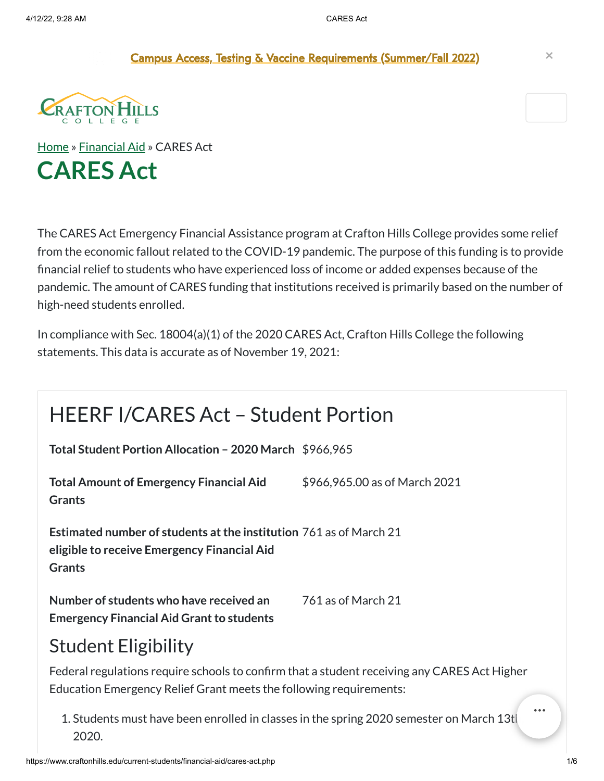Campus Access, Testing & Vaccine [Requirements](https://sbccd.edu/covid) (Summer/Fall 2022) **×**



[Home](https://www.craftonhills.edu/index.php) » [Financial](https://www.craftonhills.edu/current-students/financial-aid/index.php) Aid » CARES Act **CARES Act**

The CARES Act Emergency Financial Assistance program at Crafton Hills College provides some relief from the economic fallout related to the COVID-19 pandemic. The purpose of this funding is to provide financial relief to students who have experienced loss of income or added expenses because of the pandemic. The amount of CARES funding that institutions received is primarily based on the number of high-need students enrolled.

In compliance with Sec. 18004(a)(1) of the 2020 CARES Act, Crafton Hills College the following statements. This data is accurate as of November 19, 2021:

| <b>HEERF I/CARES Act - Student Portion</b>                                                                                                                         |                               |  |
|--------------------------------------------------------------------------------------------------------------------------------------------------------------------|-------------------------------|--|
| Total Student Portion Allocation - 2020 March \$966,965                                                                                                            |                               |  |
| <b>Total Amount of Emergency Financial Aid</b><br><b>Grants</b>                                                                                                    | \$966,965.00 as of March 2021 |  |
| <b>Estimated number of students at the institution 761 as of March 21</b><br>eligible to receive Emergency Financial Aid<br><b>Grants</b>                          |                               |  |
| Number of students who have received an<br><b>Emergency Financial Aid Grant to students</b>                                                                        | 761 as of March 21            |  |
| <b>Student Eligibility</b>                                                                                                                                         |                               |  |
| Federal regulations require schools to confirm that a student receiving any CARES Act Higher<br>Education Emergency Relief Grant meets the following requirements: |                               |  |

1. Students must have been enrolled in classes in the spring 2020 semester on March 13t 2020.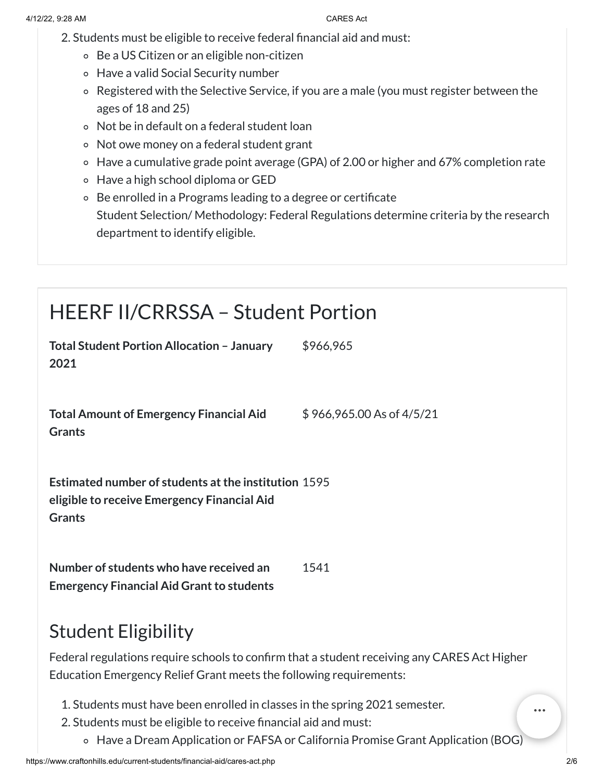- 2. Students must be eligible to receive federal financial aid and must:
	- Be a US Citizen or an eligible non-citizen
	- Have a valid Social Security number
	- Registered with the Selective Service, if you are a male (you must register between the ages of 18 and 25)
	- Not be in default on a federal student loan
	- Not owe money on a federal student grant
	- Have a cumulative grade point average (GPA) of 2.00 or higher and 67% completion rate
	- Have a high school diploma or GED
	- Be enrolled in a Programs leading to a degree or certificate Student Selection/ Methodology: Federal Regulations determine criteria by the research department to identify eligible.

## HEERF II/CRRSSA – Student Portion

| <b>Total Student Portion Allocation - January</b><br>2021                                                                                                          | \$966,965                 |
|--------------------------------------------------------------------------------------------------------------------------------------------------------------------|---------------------------|
| <b>Total Amount of Emergency Financial Aid</b><br><b>Grants</b>                                                                                                    | \$966,965.00 As of 4/5/21 |
| <b>Estimated number of students at the institution 1595</b><br>eligible to receive Emergency Financial Aid<br><b>Grants</b>                                        |                           |
| Number of students who have received an<br><b>Emergency Financial Aid Grant to students</b>                                                                        | 1541                      |
| <b>Student Eligibility</b>                                                                                                                                         |                           |
| Federal regulations require schools to confirm that a student receiving any CARES Act Higher<br>Education Emergency Relief Grant meets the following requirements: |                           |
| 1. Students must have been enrolled in classes in the spring 2021 semester.<br>2. Students must be eligible to receive financial aid and must:                     |                           |

Have a Dream Application or FAFSA or California Promise Grant Application (BOG)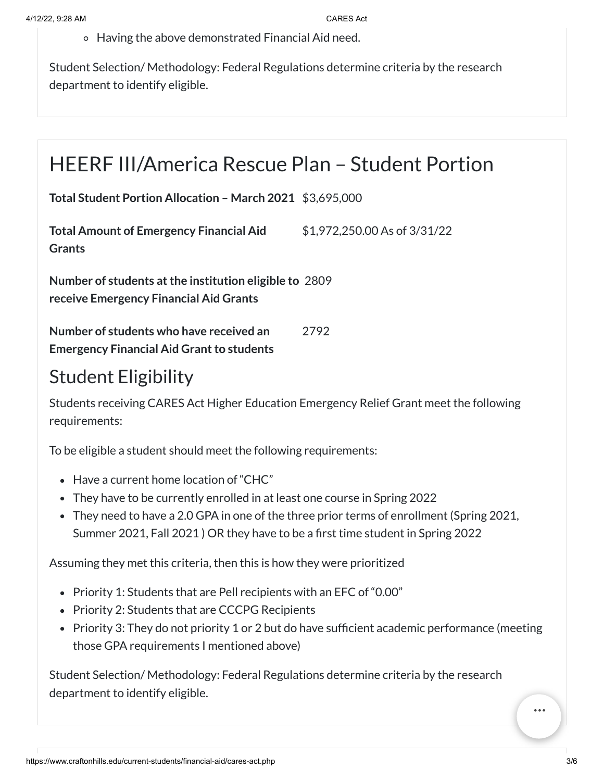Having the above demonstrated Financial Aid need.

Student Selection/ Methodology: Federal Regulations determine criteria by the research department to identify eligible.

### HEERF III/America Rescue Plan – Student Portion

**Total Student Portion Allocation – March 2021** \$3,695,000

**Total Amount of Emergency Financial Aid Grants** \$1,972,250.00 As of 3/31/22

**Number of students atthe institution eligible to** 2809 **receive Emergency Financial Aid Grants**

**Number of students who have received an Emergency Financial Aid Grant to students** 2792

### Student Eligibility

Students receiving CARES Act Higher Education Emergency Relief Grant meet the following requirements:

To be eligible a student should meet the following requirements:

- Have a current home location of "CHC"
- They have to be currently enrolled in at least one course in Spring 2022
- They need to have a 2.0 GPA in one of the three prior terms of enrollment (Spring 2021, Summer 2021, Fall 2021 ) OR they have to be a first time student in Spring 2022

Assuming they met this criteria, then this is how they were prioritized

- Priority 1: Students that are Pell recipients with an EFC of "0.00"
- Priority 2: Students that are CCCPG Recipients
- Priority 3: They do not priority 1 or 2 but do have sufficient academic performance (meeting those GPA requirements I mentioned above)

Student Selection/ Methodology: Federal Regulations determine criteria by the research department to identify eligible.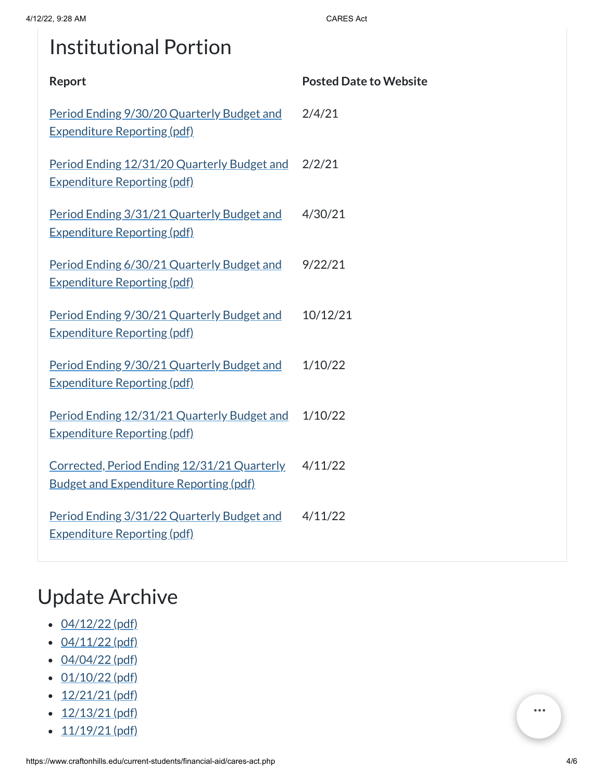# Institutional Portion

| Report                                                                                       | <b>Posted Date to Website</b> |
|----------------------------------------------------------------------------------------------|-------------------------------|
| Period Ending 9/30/20 Quarterly Budget and<br><b>Expenditure Reporting (pdf)</b>             | 2/4/21                        |
| Period Ending 12/31/20 Quarterly Budget and<br><b>Expenditure Reporting (pdf)</b>            | 2/2/21                        |
| Period Ending 3/31/21 Quarterly Budget and<br><b>Expenditure Reporting (pdf)</b>             | 4/30/21                       |
| Period Ending 6/30/21 Quarterly Budget and<br><b>Expenditure Reporting (pdf)</b>             | 9/22/21                       |
| Period Ending 9/30/21 Quarterly Budget and<br><b>Expenditure Reporting (pdf)</b>             | 10/12/21                      |
| Period Ending 9/30/21 Quarterly Budget and<br><b>Expenditure Reporting (pdf)</b>             | 1/10/22                       |
| Period Ending 12/31/21 Quarterly Budget and<br><b>Expenditure Reporting (pdf)</b>            | 1/10/22                       |
| Corrected, Period Ending 12/31/21 Quarterly<br><b>Budget and Expenditure Reporting (pdf)</b> | 4/11/22                       |
| Period Ending 3/31/22 Quarterly Budget and<br><b>Expenditure Reporting (pdf)</b>             | 4/11/22                       |

# Update Archive

- $\cdot$  [04/12/22](https://www.craftonhills.edu/current-students/financial-aid/documents/cares-act-page-4-12-22.pdf) (pdf)
- $\cdot$  [04/11/22](https://www.craftonhills.edu/current-students/financial-aid/documents/cares-act-page-4-11-22.pdf) (pdf)
- $-04/04/22$  $-04/04/22$  (pdf)
- $\cdot$  [01/10/22](https://www.craftonhills.edu/current-students/financial-aid/documents/cares-act-page-01-10-22.pdf) (pdf)
- $\cdot$  [12/21/21](https://www.craftonhills.edu/current-students/financial-aid/documents/cares-act-page-12-21-21.pdf) (pdf)
- $\cdot$  [12/13/21](https://www.craftonhills.edu/current-students/financial-aid/documents/cares-act-page-12-13-21.pdf) (pdf)
- $\cdot$  [11/19/21](https://www.craftonhills.edu/current-students/financial-aid/documents/cares-act-page-11-19-21.pdf) (pdf)

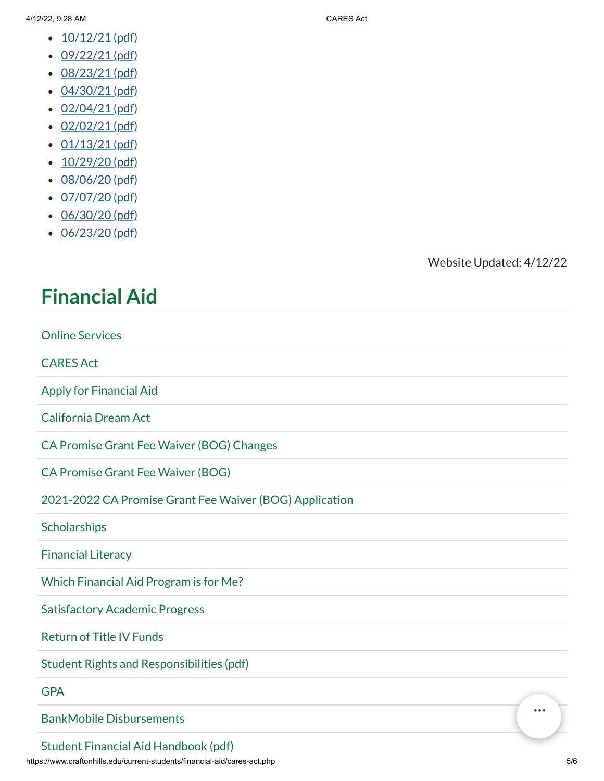- $\cdot$  [10/12/21](https://www.craftonhills.edu/current-students/financial-aid/documents/cares-act-page-10-12-21.pdf) (pdf)
- $\cdot$  [09/22/21](https://www.craftonhills.edu/current-students/financial-aid/documents/cares-act-page-9-22-21.pdf) (pdf)
- [08/23/21](https://www.craftonhills.edu/current-students/financial-aid/documents/cares-act-page-8-23-21.pdf) (pdf)
- 
- [04/30/21](https://www.craftonhills.edu/current-students/financial-aid/documents/casres-act-page-4-30-21.pdf) (pdf)
- $\cdot$  [02/04/21](https://www.craftonhills.edu/current-students/financial-aid/documents/cares-act-page-2-4-21.pdf) (pdf)
- $-02/02/21$  $-02/02/21$  (pdf)
- $\cdot$  [01/13/21](https://www.craftonhills.edu/current-students/financial-aid/documents/cares-act-page-1-13-21.pdf) (pdf)
- $\cdot$  [10/29/20](https://www.craftonhills.edu/current-students/financial-aid/documents/cares-act-page-10-29-20.pdf) (pdf)
- [08/06/20](https://www.craftonhills.edu/current-students/financial-aid/documents/casre-act-page-8-6-20.pdf) (pdf)
- $\cdot$  [07/07/20](https://www.craftonhills.edu/current-students/financial-aid/documents/cares-act-page-7-7-20.pdf) (pdf)
- [06/30/20](https://www.craftonhills.edu/current-students/financial-aid/documents/cares-act-page-6-30-20.pdf) (pdf)
- [06/23/20](https://www.craftonhills.edu/current-students/financial-aid/documents/cares-act-page-6-23-20.pdf) (pdf)

### Website Updated: 4/12/22

### **[Financial](https://www.craftonhills.edu/current-students/financial-aid/index.php) Aid**

| <b>Online Services</b>                                  |  |
|---------------------------------------------------------|--|
| <b>CARES Act</b>                                        |  |
| <b>Apply for Financial Aid</b>                          |  |
| <b>California Dream Act</b>                             |  |
| CA Promise Grant Fee Waiver (BOG) Changes               |  |
| <b>CA Promise Grant Fee Waiver (BOG)</b>                |  |
| 2021-2022 CA Promise Grant Fee Waiver (BOG) Application |  |
| Scholarships                                            |  |
| <b>Financial Literacy</b>                               |  |
| Which Financial Aid Program is for Me?                  |  |
| <b>Satisfactory Academic Progress</b>                   |  |
| <b>Return of Title IV Funds</b>                         |  |
| Student Rights and Responsibilities (pdf)               |  |
| <b>GPA</b>                                              |  |
| <br><b>BankMobile Disbursements</b>                     |  |